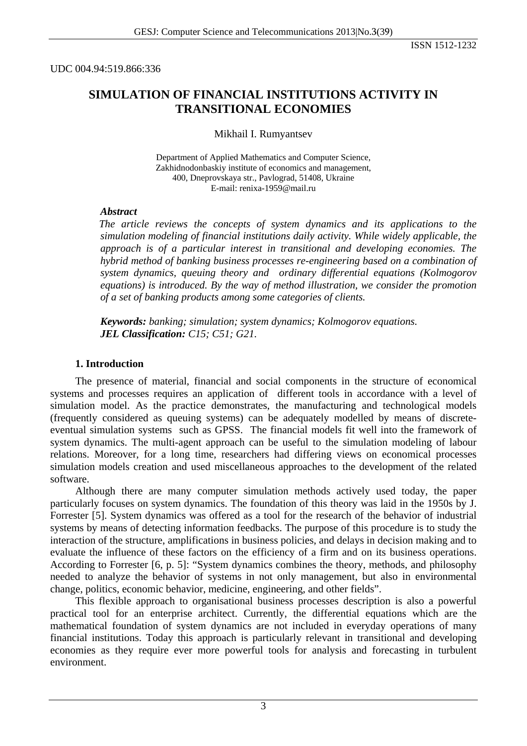UDC 004.94:519.866:336

## **SIMULATION OF FINANCIAL INSTITUTIONS ACTIVITY IN TRANSITIONAL ECONOMIES**

#### Mikhail I. Rumyantsev

Department of Applied Mathematics and Computer Science, Zakhidnodonbaskiy institute of economics and management, 400, Dneprovskaya str., Pavlograd, 51408, Ukraine E-mail: renixa-1959@mail.ru

#### *Abstract*

*The article reviews the concepts of system dynamics and its applications to the simulation modeling of financial institutions daily activity. While widely applicable, the approach is of a particular interest in transitional and developing economies. The hybrid method of banking business processes re-engineering based on a combination of system dynamics, queuing theory and ordinary differential equations (Kolmogorov equations) is introduced. By the way of method illustration, we consider the promotion of a set of banking products among some categories of clients.* 

*Keywords: banking; simulation; system dynamics; Kolmogorov equations. JEL Classification: C15; C51; G21.* 

#### **1. Introduction**

The presence of material, financial and social components in the structure of economical systems and processes requires an application of different tools in accordance with a level of simulation model. As the practice demonstrates, the manufacturing and technological models (frequently considered as queuing systems) can be adequately modelled by means of discreteeventual simulation systems such as GPSS. The financial models fit well into the framework of system dynamics. The multi-agent approach can be useful to the simulation modeling of labour relations. Moreover, for a long time, researchers had differing views on economical processes simulation models creation and used miscellaneous approaches to the development of the related software.

Although there are many computer simulation methods actively used today, the paper particularly focuses on system dynamics. The foundation of this theory was laid in the 1950s by J. Forrester [5]. System dynamics was offered as a tool for the research of the behavior of industrial systems by means of detecting information feedbacks. The purpose of this procedure is to study the interaction of the structure, amplifications in business policies, and delays in decision making and to evaluate the influence of these factors on the efficiency of a firm and on its business operations. According to Forrester [6, p. 5]: "System dynamics combines the theory, methods, and philosophy needed to analyze the behavior of systems in not only management, but also in environmental change, politics, economic behavior, medicine, engineering, and other fields".

This flexible approach to organisational business processes description is also a powerful practical tool for an enterprise architect. Currently, the differential equations which are the mathematical foundation of system dynamics are not included in everyday operations of many financial institutions. Today this approach is particularly relevant in transitional and developing economies as they require ever more powerful tools for analysis and forecasting in turbulent environment.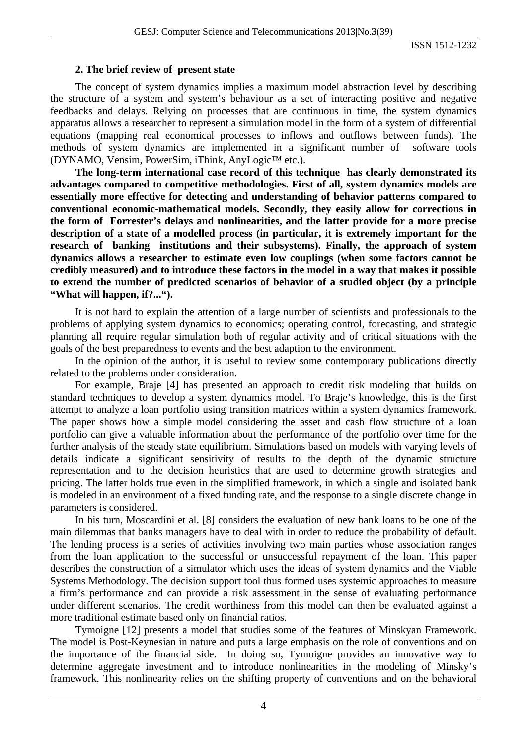ISSN 1512-1232

#### **2. The brief review of present state**

The concept of system dynamics implies a maximum model abstraction level by describing the structure of a system and system's behaviour as a set of interacting positive and negative feedbacks and delays. Relying on processes that are continuous in time, the system dynamics apparatus allows a researcher to represent a simulation model in the form of a system of differential equations (mapping real economical processes to inflows and outflows between funds). The methods of system dynamics are implemented in a significant number of software tools (DYNAMO, Vensim, PowerSim, iThink, AnyLogic™ etc.).

**The long-term international case record of this technique has clearly demonstrated its advantages compared to competitive methodologies. First of all, system dynamics models are essentially more effective for detecting and understanding of behavior patterns compared to conventional economic-mathematical models. Secondly, they easily allow for corrections in the form of Forrester's delays and nonlinearities, and the latter provide for a more precise description of a state of a modelled process (in particular, it is extremely important for the research of banking institutions and their subsystems). Finally, the approach of system dynamics allows a researcher to estimate even low couplings (when some factors cannot be credibly measured) and to introduce these factors in the model in a way that makes it possible to extend the number of predicted scenarios of behavior of a studied object (by a principle "What will happen, if?...").** 

It is not hard to explain the attention of a large number of scientists and professionals to the problems of applying system dynamics to economics; operating control, forecasting, and strategic planning all require regular simulation both of regular activity and of critical situations with the goals of the best preparedness to events and the best adaption to the environment.

In the opinion of the author, it is useful to review some contemporary publications directly related to the problems under consideration.

For example, Braje [4] has presented an approach to credit risk modeling that builds on standard techniques to develop a system dynamics model. To Braje's knowledge, this is the first attempt to analyze a loan portfolio using transition matrices within a system dynamics framework. The paper shows how a simple model considering the asset and cash flow structure of a loan portfolio can give a valuable information about the performance of the portfolio over time for the further analysis of the steady state equilibrium. Simulations based on models with varying levels of details indicate a significant sensitivity of results to the depth of the dynamic structure representation and to the decision heuristics that are used to determine growth strategies and pricing. The latter holds true even in the simplified framework, in which a single and isolated bank is modeled in an environment of a fixed funding rate, and the response to a single discrete change in parameters is considered.

In his turn, Moscardini et al. [8] considers the evaluation of new bank loans to be one of the main dilemmas that banks managers have to deal with in order to reduce the probability of default. The lending process is a series of activities involving two main parties whose association ranges from the loan application to the successful or unsuccessful repayment of the loan. This paper describes the construction of a simulator which uses the ideas of system dynamics and the Viable Systems Methodology. The decision support tool thus formed uses systemic approaches to measure a firm's performance and can provide a risk assessment in the sense of evaluating performance under different scenarios. The credit worthiness from this model can then be evaluated against a more traditional estimate based only on financial ratios.

Tymoigne [12] presents a model that studies some of the features of Minskyan Framework. The model is Post-Keynesian in nature and puts a large emphasis on the role of conventions and on the importance of the financial side. In doing so, Tymoigne provides an innovative way to determine aggregate investment and to introduce nonlinearities in the modeling of Minsky's framework. This nonlinearity relies on the shifting property of conventions and on the behavioral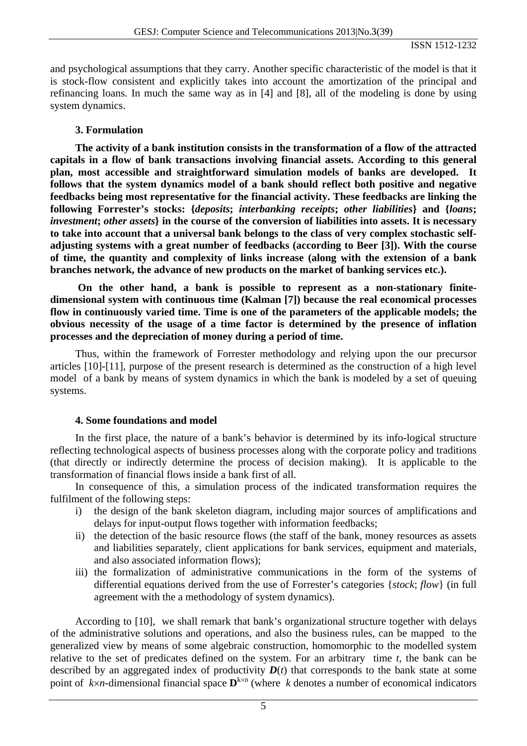and psychological assumptions that they carry. Another specific characteristic of the model is that it is stock-flow consistent and explicitly takes into account the amortization of the principal and refinancing loans. In much the same way as in [4] and [8], all of the modeling is done by using system dynamics.

### **3. Formulation**

**The activity of a bank institution consists in the transformation of a flow of the attracted capitals in a flow of bank transactions involving financial assets. According to this general plan, most accessible and straightforward simulation models of banks are developed. It follows that the system dynamics model of a bank should reflect both positive and negative feedbacks being most representative for the financial activity. These feedbacks are linking the following Forrester's stocks: {***deposits***;** *interbanking receipts***;** *other liabilities***} and {***loans***;**  *investment***;** *other assets***} in the course of the conversion of liabilities into assets. It is necessary to take into account that a universal bank belongs to the class of very complex stochastic selfadjusting systems with a great number of feedbacks (according to Beer [3]). With the course of time, the quantity and complexity of links increase (along with the extension of a bank branches network, the advance of new products on the market of banking services etc.).** 

 **On the other hand, a bank is possible to represent as a non-stationary finitedimensional system with continuous time (Kalman [7]) because the real economical processes flow in continuously varied time. Time is one of the parameters of the applicable models; the obvious necessity of the usage of a time factor is determined by the presence of inflation processes and the depreciation of money during a period of time.** 

Thus, within the framework of Forrester methodology and relying upon the our precursor articles [10]-[11], purpose of the present research is determined as the construction of a high level model of a bank by means of system dynamics in which the bank is modeled by a set of queuing systems.

#### **4. Some foundations and model**

In the first place, the nature of a bank's behavior is determined by its info-logical structure reflecting technological aspects of business processes along with the corporate policy and traditions (that directly or indirectly determine the process of decision making). It is applicable to the transformation of financial flows inside a bank first of all.

In consequence of this, a simulation process of the indicated transformation requires the fulfilment of the following steps:

- i) the design of the bank skeleton diagram, including major sources of amplifications and delays for input-output flows together with information feedbacks;
- ii) the detection of the basic resource flows (the staff of the bank, money resources as assets and liabilities separately, client applications for bank services, equipment and materials, and also associated information flows);
- iii) the formalization of administrative communications in the form of the systems of differential equations derived from the use of Forrester's categories {*stock*; *flow*} (in full agreement with the a methodology of system dynamics).

According to [10], we shall remark that bank's organizational structure together with delays of the administrative solutions and operations, and also the business rules, can be mapped to the generalized view by means of some algebraic construction, homomorphic to the modelled system relative to the set of predicates defined on the system. For an arbitrary time *t,* the bank can be described by an aggregated index of productivity  $D(t)$  that corresponds to the bank state at some point of  $k \times n$ -dimensional financial space  $\mathbf{D}^{k \times n}$  (where k denotes a number of economical indicators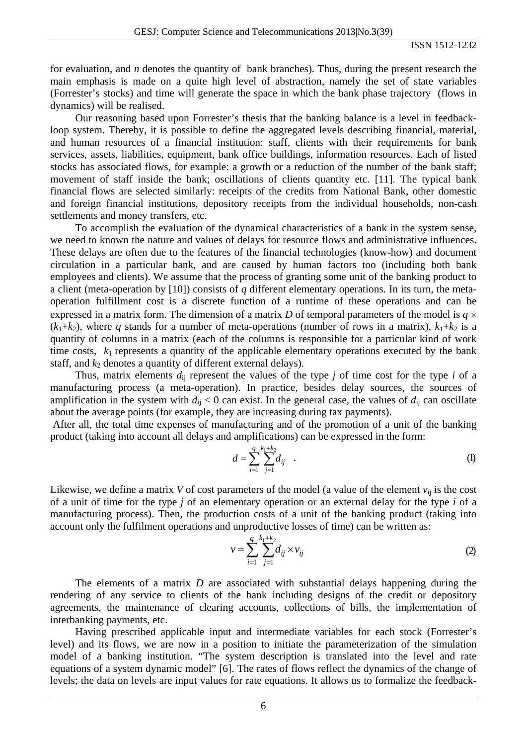for evaluation, and *n* denotes the quantity of bank branches). Thus, during the present research the main emphasis is made on a quite high level of abstraction, namely the set of state variables (Forrester's stocks) and time will generate the space in which the bank phase trajectory (flows in dynamics) will be realised.

Our reasoning based upon Forrester's thesis that the banking balance is a level in feedbackloop system. Thereby, it is possible to define the aggregated levels describing financial, material, and human resources of a financial institution: staff, clients with their requirements for bank services, assets, liabilities, equipment, bank office buildings, information resources. Each of listed stocks has associated flows, for example: a growth or a reduction of the number of the bank staff; movement of staff inside the bank; oscillations of clients quantity etc. [11]. The typical bank financial flows are selected similarly: receipts of the credits from National Bank, other domestic and foreign financial institutions, depository receipts from the individual households, non-cash settlements and money transfers, etc.

To accomplish the evaluation of the dynamical characteristics of a bank in the system sense, we need to known the nature and values of delays for resource flows and administrative influences. These delays are often due to the features of the financial technologies (know-how) and document circulation in a particular bank, and are caused by human factors too (including both bank employees and clients). We assume that the process of granting some unit of the banking product to a client (meta-operation by [10]) consists of *q* different elementary operations. In its turn, the metaoperation fulfillment cost is a discrete function of a runtime of these operations and can be expressed in a matrix form. The dimension of a matrix *D* of temporal parameters of the model is  $q \times$  $(k_1+k_2)$ , where *q* stands for a number of meta-operations (number of rows in a matrix),  $k_1+k_2$  is a quantity of columns in a matrix (each of the columns is responsible for a particular kind of work time costs,  $k_1$  represents a quantity of the applicable elementary operations executed by the bank staff, and  $k_2$  denotes a quantity of different external delays).

Thus, matrix elements  $d_{ii}$  represent the values of the type *j* of time cost for the type *i* of a manufacturing process (a meta-operation). In practice, besides delay sources, the sources of amplification in the system with  $d_{ij} < 0$  can exist. In the general case, the values of  $d_{ij}$  can oscillate about the average points (for example, they are increasing during tax payments).

 After all, the total time expenses of manufacturing and of the promotion of a unit of the banking product (taking into account all delays and amplifications) can be expressed in the form:

$$
d = \sum_{i=1}^{q} \sum_{j=1}^{k_1 + k_2} d_{ij} \quad . \tag{1}
$$

Likewise, we define a matrix *V* of cost parameters of the model (a value of the element  $v_{ii}$  is the cost of a unit of time for the type *j* of an elementary operation or an external delay for the type *i* of a manufacturing process). Then, the production costs of a unit of the banking product (taking into account only the fulfilment operations and unproductive losses of time) can be written as:

$$
v = \sum_{i=1}^{q} \sum_{j=1}^{k_1 + k_2} d_{ij} \times v_{ij}
$$
 (2)

The elements of a matrix *D* are associated with substantial delays happening during the rendering of any service to clients of the bank including designs of the credit or depository agreements, the maintenance of clearing accounts, collections of bills, the implementation of interbanking payments, etc.

Having prescribed applicable input and intermediate variables for each stock (Forrester's level) and its flows, we are now in a position to initiate the parameterization of the simulation model of a banking institution. "The system description is translated into the level and rate equations of a system dynamic model" [6]. The rates of flows reflect the dynamics of the change of levels; the data on levels are input values for rate equations. It allows us to formalize the feedback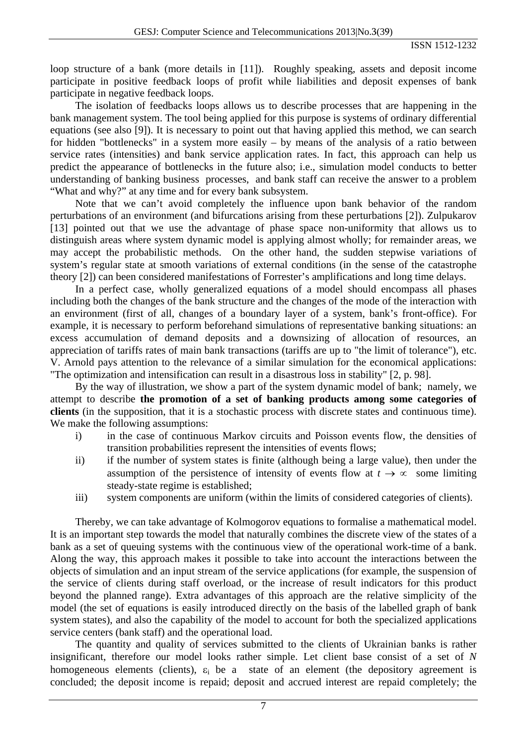loop structure of a bank (more details in [11]). Roughly speaking, assets and deposit income participate in positive feedback loops of profit while liabilities and deposit expenses of bank participate in negative feedback loops.

The isolation of feedbacks loops allows us to describe processes that are happening in the bank management system. The tool being applied for this purpose is systems of ordinary differential equations (see also [9]). It is necessary to point out that having applied this method, we can search for hidden "bottlenecks" in a system more easily – by means of the analysis of a ratio between service rates (intensities) and bank service application rates. In fact, this approach can help us predict the appearance of bottlenecks in the future also; i.e., simulation model conducts to better understanding of banking business processes, and bank staff can receive the answer to a problem "What and why?" at any time and for every bank subsystem.

Note that we can't avoid completely the influence upon bank behavior of the random perturbations of an environment (and bifurcations arising from these perturbations [2]). Zulpukarov [13] pointed out that we use the advantage of phase space non-uniformity that allows us to distinguish areas where system dynamic model is applying almost wholly; for remainder areas, we may accept the probabilistic methods. On the other hand, the sudden stepwise variations of system's regular state at smooth variations of external conditions (in the sense of the catastrophe theory [2]) can been considered manifestations of Forrester's amplifications and long time delays.

In a perfect case, wholly generalized equations of a model should encompass all phases including both the changes of the bank structure and the changes of the mode of the interaction with an environment (first of all, changes of a boundary layer of a system, bank's front-office). For example, it is necessary to perform beforehand simulations of representative banking situations: an excess accumulation of demand deposits and a downsizing of allocation of resources, an appreciation of tariffs rates of main bank transactions (tariffs are up to "the limit of tolerance"), etc. V. Arnold pays attention to the relevance of a similar simulation for the economical applications: "The optimization and intensification can result in a disastrous loss in stability" [2, p. 98].

By the way of illustration, we show a part of the system dynamic model of bank; namely, we attempt to describe **the promotion of a set of banking products among some categories of clients** (in the supposition, that it is a stochastic process with discrete states and continuous time). We make the following assumptions:

- i) in the case of continuous Markov circuits and Poisson events flow, the densities of transition probabilities represent the intensities of events flows;
- ii) if the number of system states is finite (although being a large value), then under the assumption of the persistence of intensity of events flow at  $t \to \infty$  some limiting steady-state regime is established;
- iii) system components are uniform (within the limits of considered categories of clients).

Thereby, we can take advantage of Kolmogorov equations to formalise a mathematical model. It is an important step towards the model that naturally combines the discrete view of the states of a bank as a set of queuing systems with the continuous view of the operational work-time of a bank. Along the way, this approach makes it possible to take into account the interactions between the objects of simulation and an input stream of the service applications (for example, the suspension of the service of clients during staff overload, or the increase of result indicators for this product beyond the planned range). Extra advantages of this approach are the relative simplicity of the model (the set of equations is easily introduced directly on the basis of the labelled graph of bank system states), and also the capability of the model to account for both the specialized applications service centers (bank staff) and the operational load.

The quantity and quality of services submitted to the clients of Ukrainian banks is rather insignificant, therefore our model looks rather simple. Let client base consist of a set of *N* homogeneous elements (clients),  $\varepsilon_i$  be a state of an element (the depository agreement is concluded; the deposit income is repaid; deposit and accrued interest are repaid completely; the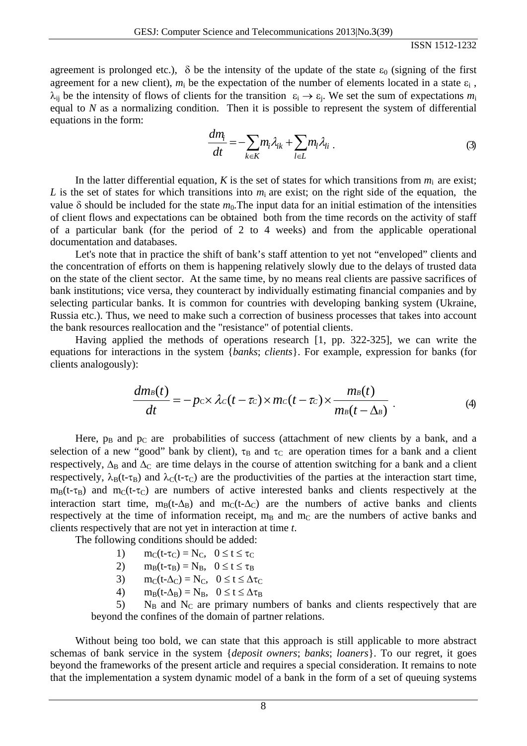agreement is prolonged etc.),  $\delta$  be the intensity of the update of the state  $\varepsilon_0$  (signing of the first agreement for a new client),  $m_i$  be the expectation of the number of elements located in a state  $\varepsilon_i$ .  $\lambda_{ii}$  be the intensity of flows of clients for the transition  $\varepsilon_i \to \varepsilon_i$ . We set the sum of expectations  $m_i$ equal to *N* as a normalizing condition. Then it is possible to represent the system of differential equations in the form:

$$
\frac{dm_i}{dt} = -\sum_{k \in K} m_i \lambda_{ik} + \sum_{l \in L} m_l \lambda_{li} \tag{3}
$$

In the latter differential equation, *K* is the set of states for which transitions from  $m_i$  are exist; *L* is the set of states for which transitions into  $m_i$  are exist; on the right side of the equation, the value  $\delta$  should be included for the state  $m_0$ . The input data for an initial estimation of the intensities of client flows and expectations can be obtained both from the time records on the activity of staff of a particular bank (for the period of 2 to 4 weeks) and from the applicable operational documentation and databases.

Let's note that in practice the shift of bank's staff attention to yet not "enveloped" clients and the concentration of efforts on them is happening relatively slowly due to the delays of trusted data on the state of the client sector. At the same time, by no means real clients are passive sacrifices of bank institutions; vice versa, they counteract by individually estimating financial companies and by selecting particular banks. It is common for countries with developing banking system (Ukraine, Russia etc.). Thus, we need to make such a correction of business processes that takes into account the bank resources reallocation and the "resistance" of potential clients.

Having applied the methods of operations research [1, pp. 322-325], we can write the equations for interactions in the system {*banks*; *clients*}. For example, expression for banks (for clients analogously):

$$
\frac{dm_B(t)}{dt} = -p_c \times \lambda_c(t-\tau_c) \times mc(t-\tau_c) \times \frac{m_B(t)}{m_B(t-\Delta_B)}.
$$
\n(4)

Here,  $p_B$  and  $p_C$  are probabilities of success (attachment of new clients by a bank, and a selection of a new "good" bank by client),  $\tau_B$  and  $\tau_C$  are operation times for a bank and a client respectively,  $\Delta_B$  and  $\Delta_C$  are time delays in the course of attention switching for a bank and a client respectively,  $\lambda_B(t-\tau_B)$  and  $\lambda_C(t-\tau_C)$  are the productivities of the parties at the interaction start time,  $m_B(t-\tau_B)$  and  $m_C(t-\tau_C)$  are numbers of active interested banks and clients respectively at the interaction start time,  $m_B(t-\Delta_B)$  and  $m_C(t-\Delta_C)$  are the numbers of active banks and clients respectively at the time of information receipt,  $m_B$  and  $m_C$  are the numbers of active banks and clients respectively that are not yet in interaction at time *t*.

The following conditions should be added:

- 1)  $m_C(t-\tau_C) = N_C$ ,  $0 \le t \le \tau_C$
- 2)  $m_B(t-\tau_B) = N_B$ ,  $0 \le t \le \tau_B$
- 3)  $m_C(t-\Delta_C) = N_C$ ,  $0 \le t \le \Delta \tau_C$
- 4)  $m_B(t-\Delta_B) = N_B$ ,  $0 \le t \le \Delta \tau_B$

 $5$ ) N<sub>B</sub> and N<sub>C</sub> are primary numbers of banks and clients respectively that are beyond the confines of the domain of partner relations.

Without being too bold, we can state that this approach is still applicable to more abstract schemas of bank service in the system {*deposit owners*; *banks*; *loaners*}. To our regret, it goes beyond the frameworks of the present article and requires a special consideration. It remains to note that the implementation a system dynamic model of a bank in the form of a set of queuing systems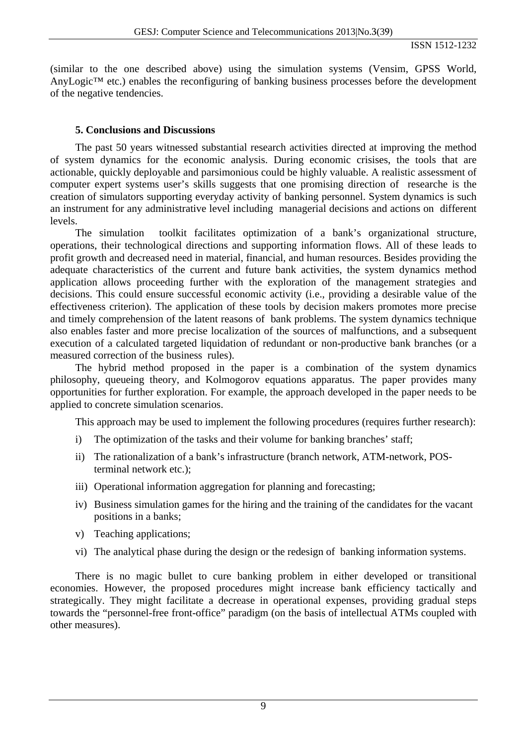(similar to the one described above) using the simulation systems (Vensim, GPSS World, AnyLogic™ etc.) enables the reconfiguring of banking business processes before the development of the negative tendencies.

### **5. Conclusions and Discussions**

The past 50 years witnessed substantial research activities directed at improving the method of system dynamics for the economic analysis. During economic crisises, the tools that are actionable, quickly deployable and parsimonious could be highly valuable. A realistic assessment of computer expert systems user's skills suggests that one promising direction of researche is the creation of simulators supporting everyday activity of banking personnel. System dynamics is such an instrument for any administrative level including managerial decisions and actions on different levels.

The simulation toolkit facilitates optimization of a bank's organizational structure, operations, their technological directions and supporting information flows. All of these leads to profit growth and decreased need in material, financial, and human resources. Besides providing the adequate characteristics of the current and future bank activities, the system dynamics method application allows proceeding further with the exploration of the management strategies and decisions. This could ensure successful economic activity (i.e., providing a desirable value of the effectiveness criterion). The application of these tools by decision makers promotes more precise and timely comprehension of the latent reasons of bank problems. The system dynamics technique also enables faster and more precise localization of the sources of malfunctions, and a subsequent execution of a calculated targeted liquidation of redundant or non-productive bank branches (or a measured correction of the business rules).

The hybrid method proposed in the paper is a combination of the system dynamics philosophy, queueing theory, and Kolmogorov equations apparatus. The paper provides many opportunities for further exploration. For example, the approach developed in the paper needs to be applied to concrete simulation scenarios.

This approach may be used to implement the following procedures (requires further research):

- i) The optimization of the tasks and their volume for banking branches' staff;
- ii) The rationalization of a bank's infrastructure (branch network, ATM-network, POSterminal network etc.);
- iii) Operational information aggregation for planning and forecasting;
- iv) Business simulation games for the hiring and the training of the candidates for the vacant positions in a banks;
- v) Teaching applications;
- vi) The analytical phase during the design or the redesign of banking information systems.

There is no magic bullet to cure banking problem in either developed or transitional economies. However, the proposed procedures might increase bank efficiency tactically and strategically. They might facilitate a decrease in operational expenses, providing gradual steps towards the "personnel-free front-office" paradigm (on the basis of intellectual ATMs coupled with other measures).